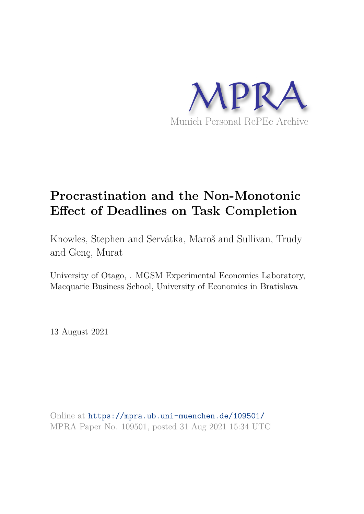

# **Procrastination and the Non-Monotonic Effect of Deadlines on Task Completion**

Knowles, Stephen and Servátka, Maroš and Sullivan, Trudy and Genç, Murat

University of Otago, . MGSM Experimental Economics Laboratory, Macquarie Business School, University of Economics in Bratislava

13 August 2021

Online at https://mpra.ub.uni-muenchen.de/109501/ MPRA Paper No. 109501, posted 31 Aug 2021 15:34 UTC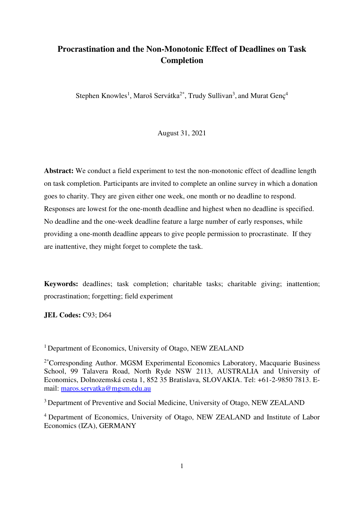# **Procrastination and the Non-Monotonic Effect of Deadlines on Task Completion**

Stephen Knowles<sup>1</sup>, Maroš Servátka<sup>2\*</sup>, Trudy Sullivan<sup>3</sup>, and Murat Genç<sup>4</sup>

August 31, 2021

**Abstract:** We conduct a field experiment to test the non-monotonic effect of deadline length on task completion. Participants are invited to complete an online survey in which a donation goes to charity. They are given either one week, one month or no deadline to respond. Responses are lowest for the one-month deadline and highest when no deadline is specified. No deadline and the one-week deadline feature a large number of early responses, while providing a one-month deadline appears to give people permission to procrastinate. If they are inattentive, they might forget to complete the task.

**Keywords:** deadlines; task completion; charitable tasks; charitable giving; inattention; procrastination; forgetting; field experiment

**JEL Codes:** C93; D64

<sup>1</sup> Department of Economics, University of Otago, NEW ZEALAND

 $2*$ Corresponding Author. MGSM Experimental Economics Laboratory, Macquarie Business School, 99 Talavera Road, North Ryde NSW 2113, AUSTRALIA and University of Economics, Dolnozemská cesta 1, 852 35 Bratislava, SLOVAKIA. Tel: +61-2-9850 7813. Email: [maros.servatka@mgsm.edu.au](mailto:maros.servatka@mgsm.edu.au) 

<sup>3</sup> Department of Preventive and Social Medicine, University of Otago, NEW ZEALAND

<sup>4</sup> Department of Economics, University of Otago, NEW ZEALAND and Institute of Labor Economics (IZA), GERMANY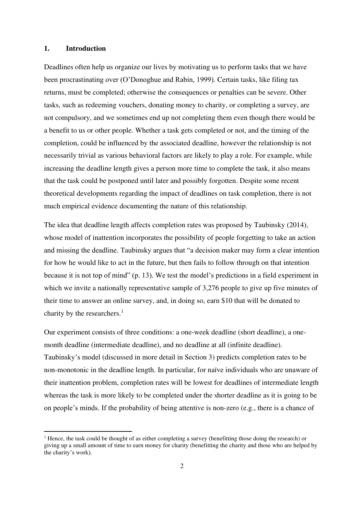#### **1. Introduction**

Deadlines often help us organize our lives by motivating us to perform tasks that we have been procrastinating over (O'Donoghue and Rabin, 1999). Certain tasks, like filing tax returns, must be completed; otherwise the consequences or penalties can be severe. Other tasks, such as redeeming vouchers, donating money to charity, or completing a survey, are not compulsory, and we sometimes end up not completing them even though there would be a benefit to us or other people. Whether a task gets completed or not, and the timing of the completion, could be influenced by the associated deadline, however the relationship is not necessarily trivial as various behavioral factors are likely to play a role. For example, while increasing the deadline length gives a person more time to complete the task, it also means that the task could be postponed until later and possibly forgotten. Despite some recent theoretical developments regarding the impact of deadlines on task completion, there is not much empirical evidence documenting the nature of this relationship.

The idea that deadline length affects completion rates was proposed by Taubinsky (2014), whose model of inattention incorporates the possibility of people forgetting to take an action and missing the deadline. Taubinsky argues that "a decision maker may form a clear intention for how he would like to act in the future, but then fails to follow through on that intention because it is not top of mind" (p. 13). We test the model's predictions in a field experiment in which we invite a nationally representative sample of 3,276 people to give up five minutes of their time to answer an online survey, and, in doing so, earn \$10 that will be donated to charity by the researchers. $<sup>1</sup>$ </sup>

Our experiment consists of three conditions: a one-week deadline (short deadline), a onemonth deadline (intermediate deadline), and no deadline at all (infinite deadline). Taubinsky's model (discussed in more detail in Section 3) predicts completion rates to be non-monotonic in the deadline length. In particular, for naïve individuals who are unaware of their inattention problem, completion rates will be lowest for deadlines of intermediate length whereas the task is more likely to be completed under the shorter deadline as it is going to be on people's minds. If the probability of being attentive is non-zero (e.g., there is a chance of

<sup>&</sup>lt;sup>1</sup> Hence, the task could be thought of as either completing a survey (benefitting those doing the research) or giving up a small amount of time to earn money for charity (benefitting the charity and those who are helped by the charity's work).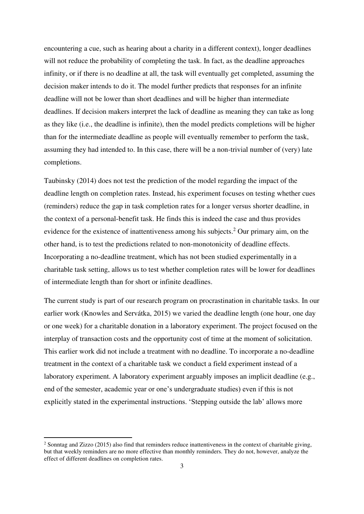encountering a cue, such as hearing about a charity in a different context), longer deadlines will not reduce the probability of completing the task. In fact, as the deadline approaches infinity, or if there is no deadline at all, the task will eventually get completed, assuming the decision maker intends to do it. The model further predicts that responses for an infinite deadline will not be lower than short deadlines and will be higher than intermediate deadlines. If decision makers interpret the lack of deadline as meaning they can take as long as they like (i.e., the deadline is infinite), then the model predicts completions will be higher than for the intermediate deadline as people will eventually remember to perform the task, assuming they had intended to. In this case, there will be a non-trivial number of (very) late completions.

Taubinsky (2014) does not test the prediction of the model regarding the impact of the deadline length on completion rates. Instead, his experiment focuses on testing whether cues (reminders) reduce the gap in task completion rates for a longer versus shorter deadline, in the context of a personal-benefit task. He finds this is indeed the case and thus provides evidence for the existence of inattentiveness among his subjects.<sup>2</sup> Our primary aim, on the other hand, is to test the predictions related to non-monotonicity of deadline effects. Incorporating a no-deadline treatment, which has not been studied experimentally in a charitable task setting, allows us to test whether completion rates will be lower for deadlines of intermediate length than for short or infinite deadlines.

The current study is part of our research program on procrastination in charitable tasks. In our earlier work (Knowles and Servátka, 2015) we varied the deadline length (one hour, one day or one week) for a charitable donation in a laboratory experiment. The project focused on the interplay of transaction costs and the opportunity cost of time at the moment of solicitation. This earlier work did not include a treatment with no deadline. To incorporate a no-deadline treatment in the context of a charitable task we conduct a field experiment instead of a laboratory experiment. A laboratory experiment arguably imposes an implicit deadline (e.g., end of the semester, academic year or one's undergraduate studies) even if this is not explicitly stated in the experimental instructions. 'Stepping outside the lab' allows more

 $2$  Sonntag and Zizzo (2015) also find that reminders reduce inattentiveness in the context of charitable giving, but that weekly reminders are no more effective than monthly reminders. They do not, however, analyze the effect of different deadlines on completion rates.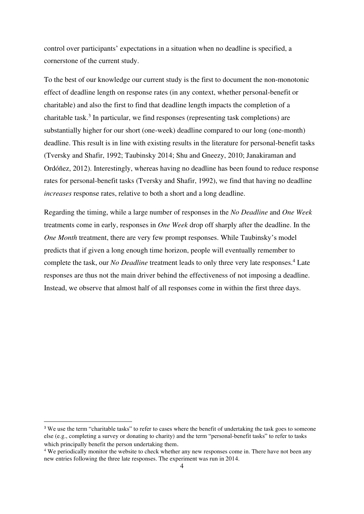control over participants' expectations in a situation when no deadline is specified, a cornerstone of the current study.

To the best of our knowledge our current study is the first to document the non-monotonic effect of deadline length on response rates (in any context, whether personal-benefit or charitable) and also the first to find that deadline length impacts the completion of a charitable task.<sup>3</sup> In particular, we find responses (representing task completions) are substantially higher for our short (one-week) deadline compared to our long (one-month) deadline. This result is in line with existing results in the literature for personal-benefit tasks (Tversky and Shafir, 1992; Taubinsky 2014; Shu and Gneezy, 2010; Janakiraman and Ordóñez, 2012). Interestingly, whereas having no deadline has been found to reduce response rates for personal-benefit tasks (Tversky and Shafir, 1992), we find that having no deadline *increases* response rates, relative to both a short and a long deadline.

Regarding the timing, while a large number of responses in the *No Deadline* and *One Week*  treatments come in early, responses in *One Week* drop off sharply after the deadline. In the *One Month* treatment, there are very few prompt responses. While Taubinsky's model predicts that if given a long enough time horizon, people will eventually remember to complete the task, our *No Deadline* treatment leads to only three very late responses.<sup>4</sup> Late responses are thus not the main driver behind the effectiveness of not imposing a deadline. Instead, we observe that almost half of all responses come in within the first three days.

<sup>&</sup>lt;sup>3</sup> We use the term "charitable tasks" to refer to cases where the benefit of undertaking the task goes to someone else (e.g., completing a survey or donating to charity) and the term "personal-benefit tasks" to refer to tasks which principally benefit the person undertaking them.

<sup>&</sup>lt;sup>4</sup> We periodically monitor the website to check whether any new responses come in. There have not been any new entries following the three late responses. The experiment was run in 2014.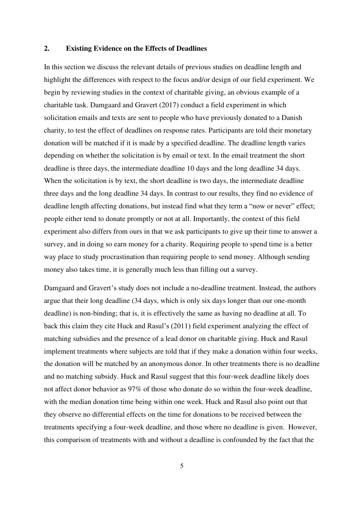#### **2. Existing Evidence on the Effects of Deadlines**

In this section we discuss the relevant details of previous studies on deadline length and highlight the differences with respect to the focus and/or design of our field experiment. We begin by reviewing studies in the context of charitable giving, an obvious example of a charitable task. Damgaard and Gravert (2017) conduct a field experiment in which solicitation emails and texts are sent to people who have previously donated to a Danish charity, to test the effect of deadlines on response rates. Participants are told their monetary donation will be matched if it is made by a specified deadline. The deadline length varies depending on whether the solicitation is by email or text. In the email treatment the short deadline is three days, the intermediate deadline 10 days and the long deadline 34 days. When the solicitation is by text, the short deadline is two days, the intermediate deadline three days and the long deadline 34 days. In contrast to our results, they find no evidence of deadline length affecting donations, but instead find what they term a "now or never" effect; people either tend to donate promptly or not at all. Importantly, the context of this field experiment also differs from ours in that we ask participants to give up their time to answer a survey, and in doing so earn money for a charity. Requiring people to spend time is a better way place to study procrastination than requiring people to send money. Although sending money also takes time, it is generally much less than filling out a survey.

Damgaard and Gravert's study does not include a no-deadline treatment. Instead, the authors argue that their long deadline (34 days, which is only six days longer than our one-month deadline) is non-binding; that is, it is effectively the same as having no deadline at all. To back this claim they cite Huck and Rasul's (2011) field experiment analyzing the effect of matching subsidies and the presence of a lead donor on charitable giving. Huck and Rasul implement treatments where subjects are told that if they make a donation within four weeks, the donation will be matched by an anonymous donor. In other treatments there is no deadline and no matching subsidy. Huck and Rasul suggest that this four-week deadline likely does not affect donor behavior as 97% of those who donate do so within the four-week deadline, with the median donation time being within one week. Huck and Rasul also point out that they observe no differential effects on the time for donations to be received between the treatments specifying a four-week deadline, and those where no deadline is given. However, this comparison of treatments with and without a deadline is confounded by the fact that the

5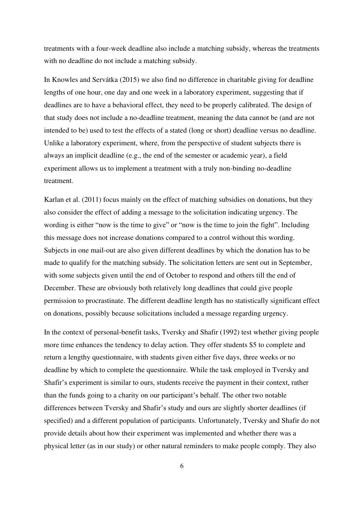treatments with a four-week deadline also include a matching subsidy, whereas the treatments with no deadline do not include a matching subsidy.

In Knowles and Servátka (2015) we also find no difference in charitable giving for deadline lengths of one hour, one day and one week in a laboratory experiment, suggesting that if deadlines are to have a behavioral effect, they need to be properly calibrated. The design of that study does not include a no-deadline treatment, meaning the data cannot be (and are not intended to be) used to test the effects of a stated (long or short) deadline versus no deadline. Unlike a laboratory experiment, where, from the perspective of student subjects there is always an implicit deadline (e.g., the end of the semester or academic year), a field experiment allows us to implement a treatment with a truly non-binding no-deadline treatment.

Karlan et al. (2011) focus mainly on the effect of matching subsidies on donations, but they also consider the effect of adding a message to the solicitation indicating urgency. The wording is either "now is the time to give" or "now is the time to join the fight". Including this message does not increase donations compared to a control without this wording. Subjects in one mail-out are also given different deadlines by which the donation has to be made to qualify for the matching subsidy. The solicitation letters are sent out in September, with some subjects given until the end of October to respond and others till the end of December. These are obviously both relatively long deadlines that could give people permission to procrastinate. The different deadline length has no statistically significant effect on donations, possibly because solicitations included a message regarding urgency.

In the context of personal-benefit tasks, Tversky and Shafir (1992) test whether giving people more time enhances the tendency to delay action. They offer students \$5 to complete and return a lengthy questionnaire, with students given either five days, three weeks or no deadline by which to complete the questionnaire. While the task employed in Tversky and Shafir's experiment is similar to ours, students receive the payment in their context, rather than the funds going to a charity on our participant's behalf. The other two notable differences between Tversky and Shafir's study and ours are slightly shorter deadlines (if specified) and a different population of participants. Unfortunately, Tversky and Shafir do not provide details about how their experiment was implemented and whether there was a physical letter (as in our study) or other natural reminders to make people comply. They also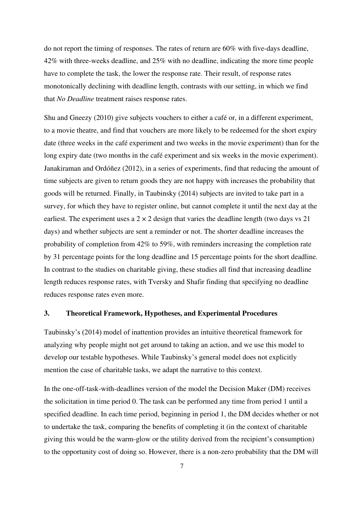do not report the timing of responses. The rates of return are 60% with five-days deadline, 42% with three-weeks deadline, and 25% with no deadline, indicating the more time people have to complete the task, the lower the response rate. Their result, of response rates monotonically declining with deadline length, contrasts with our setting, in which we find that *No Deadline* treatment raises response rates.

Shu and Gneezy (2010) give subjects vouchers to either a café or, in a different experiment, to a movie theatre, and find that vouchers are more likely to be redeemed for the short expiry date (three weeks in the café experiment and two weeks in the movie experiment) than for the long expiry date (two months in the café experiment and six weeks in the movie experiment). Janakiraman and Ordóñez (2012), in a series of experiments, find that reducing the amount of time subjects are given to return goods they are not happy with increases the probability that goods will be returned. Finally, in Taubinsky (2014) subjects are invited to take part in a survey, for which they have to register online, but cannot complete it until the next day at the earliest. The experiment uses a  $2 \times 2$  design that varies the deadline length (two days vs  $21$ ) days) and whether subjects are sent a reminder or not. The shorter deadline increases the probability of completion from 42% to 59%, with reminders increasing the completion rate by 31 percentage points for the long deadline and 15 percentage points for the short deadline. In contrast to the studies on charitable giving, these studies all find that increasing deadline length reduces response rates, with Tversky and Shafir finding that specifying no deadline reduces response rates even more.

#### **3. Theoretical Framework, Hypotheses, and Experimental Procedures**

Taubinsky's (2014) model of inattention provides an intuitive theoretical framework for analyzing why people might not get around to taking an action, and we use this model to develop our testable hypotheses. While Taubinsky's general model does not explicitly mention the case of charitable tasks, we adapt the narrative to this context.

In the one-off-task-with-deadlines version of the model the Decision Maker (DM) receives the solicitation in time period 0. The task can be performed any time from period 1 until a specified deadline. In each time period, beginning in period 1, the DM decides whether or not to undertake the task, comparing the benefits of completing it (in the context of charitable giving this would be the warm-glow or the utility derived from the recipient's consumption) to the opportunity cost of doing so. However, there is a non-zero probability that the DM will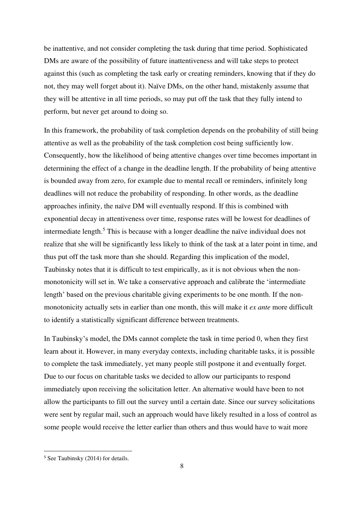be inattentive, and not consider completing the task during that time period. Sophisticated DMs are aware of the possibility of future inattentiveness and will take steps to protect against this (such as completing the task early or creating reminders, knowing that if they do not, they may well forget about it). Naïve DMs, on the other hand, mistakenly assume that they will be attentive in all time periods, so may put off the task that they fully intend to perform, but never get around to doing so.

In this framework, the probability of task completion depends on the probability of still being attentive as well as the probability of the task completion cost being sufficiently low. Consequently, how the likelihood of being attentive changes over time becomes important in determining the effect of a change in the deadline length. If the probability of being attentive is bounded away from zero, for example due to mental recall or reminders, infinitely long deadlines will not reduce the probability of responding. In other words, as the deadline approaches infinity, the naïve DM will eventually respond. If this is combined with exponential decay in attentiveness over time, response rates will be lowest for deadlines of intermediate length.<sup>5</sup> This is because with a longer deadline the naïve individual does not realize that she will be significantly less likely to think of the task at a later point in time, and thus put off the task more than she should. Regarding this implication of the model, Taubinsky notes that it is difficult to test empirically, as it is not obvious when the nonmonotonicity will set in. We take a conservative approach and calibrate the 'intermediate length' based on the previous charitable giving experiments to be one month. If the nonmonotonicity actually sets in earlier than one month, this will make it *ex ante* more difficult to identify a statistically significant difference between treatments.

In Taubinsky's model, the DMs cannot complete the task in time period 0, when they first learn about it. However, in many everyday contexts, including charitable tasks, it is possible to complete the task immediately, yet many people still postpone it and eventually forget. Due to our focus on charitable tasks we decided to allow our participants to respond immediately upon receiving the solicitation letter. An alternative would have been to not allow the participants to fill out the survey until a certain date. Since our survey solicitations were sent by regular mail, such an approach would have likely resulted in a loss of control as some people would receive the letter earlier than others and thus would have to wait more

<sup>5</sup> See Taubinsky (2014) for details.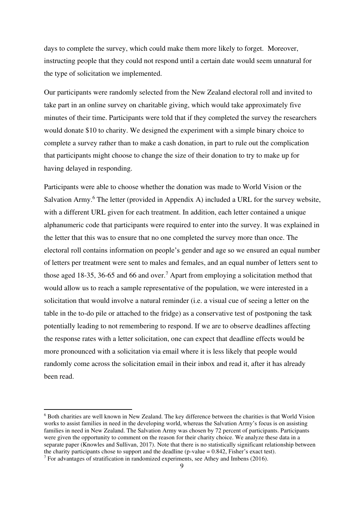days to complete the survey, which could make them more likely to forget. Moreover, instructing people that they could not respond until a certain date would seem unnatural for the type of solicitation we implemented.

Our participants were randomly selected from the New Zealand electoral roll and invited to take part in an online survey on charitable giving, which would take approximately five minutes of their time. Participants were told that if they completed the survey the researchers would donate \$10 to charity. We designed the experiment with a simple binary choice to complete a survey rather than to make a cash donation, in part to rule out the complication that participants might choose to change the size of their donation to try to make up for having delayed in responding.

Participants were able to choose whether the donation was made to World Vision or the Salvation Army.<sup>6</sup> The letter (provided in Appendix A) included a URL for the survey website, with a different URL given for each treatment. In addition, each letter contained a unique alphanumeric code that participants were required to enter into the survey. It was explained in the letter that this was to ensure that no one completed the survey more than once. The electoral roll contains information on people's gender and age so we ensured an equal number of letters per treatment were sent to males and females, and an equal number of letters sent to those aged 18-35, 36-65 and 66 and over.<sup>7</sup> Apart from employing a solicitation method that would allow us to reach a sample representative of the population, we were interested in a solicitation that would involve a natural reminder (i.e. a visual cue of seeing a letter on the table in the to-do pile or attached to the fridge) as a conservative test of postponing the task potentially leading to not remembering to respond. If we are to observe deadlines affecting the response rates with a letter solicitation, one can expect that deadline effects would be more pronounced with a solicitation via email where it is less likely that people would randomly come across the solicitation email in their inbox and read it, after it has already been read.

<sup>&</sup>lt;sup>6</sup> Both charities are well known in New Zealand. The key difference between the charities is that World Vision works to assist families in need in the developing world, whereas the Salvation Army's focus is on assisting families in need in New Zealand. The Salvation Army was chosen by 72 percent of participants. Participants were given the opportunity to comment on the reason for their charity choice. We analyze these data in a separate paper (Knowles and Sullivan, 2017). Note that there is no statistically significant relationship between the charity participants chose to support and the deadline (p-value  $= 0.842$ , Fisher's exact test). <sup>7</sup> For advantages of stratification in randomized experiments, see Athey and Imbens (2016).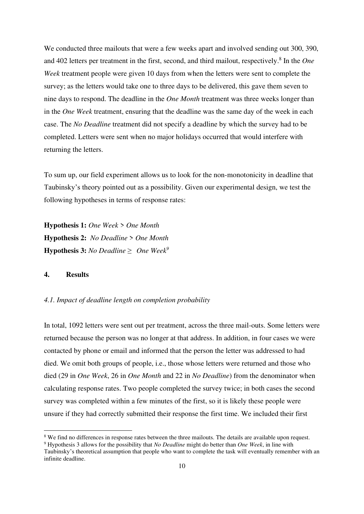We conducted three mailouts that were a few weeks apart and involved sending out 300, 390, and 402 letters per treatment in the first, second, and third mailout, respectively.<sup>8</sup> In the *One Week* treatment people were given 10 days from when the letters were sent to complete the survey; as the letters would take one to three days to be delivered, this gave them seven to nine days to respond. The deadline in the *One Month* treatment was three weeks longer than in the *One Week* treatment, ensuring that the deadline was the same day of the week in each case. The *No Deadline* treatment did not specify a deadline by which the survey had to be completed. Letters were sent when no major holidays occurred that would interfere with returning the letters.

To sum up, our field experiment allows us to look for the non-monotonicity in deadline that Taubinsky's theory pointed out as a possibility. Given our experimental design, we test the following hypotheses in terms of response rates:

**Hypothesis 1:** *One Week* > *One Month* **Hypothesis 2:** *No Deadline* > *One Month* **Hypothesis 3:** *No Deadline* ≥ *One Week<sup>9</sup>*

#### **4. Results**

#### *4.1. Impact of deadline length on completion probability*

In total, 1092 letters were sent out per treatment, across the three mail-outs. Some letters were returned because the person was no longer at that address. In addition, in four cases we were contacted by phone or email and informed that the person the letter was addressed to had died. We omit both groups of people, i.e., those whose letters were returned and those who died (29 in *One Week*, 26 in *One Month* and 22 in *No Deadline*) from the denominator when calculating response rates. Two people completed the survey twice; in both cases the second survey was completed within a few minutes of the first, so it is likely these people were unsure if they had correctly submitted their response the first time. We included their first

<sup>&</sup>lt;sup>8</sup> We find no differences in response rates between the three mailouts. The details are available upon request.

<sup>9</sup> Hypothesis 3 allows for the possibility that *No Deadline* might do better than *One Week*, in line with

Taubinsky's theoretical assumption that people who want to complete the task will eventually remember with an infinite deadline.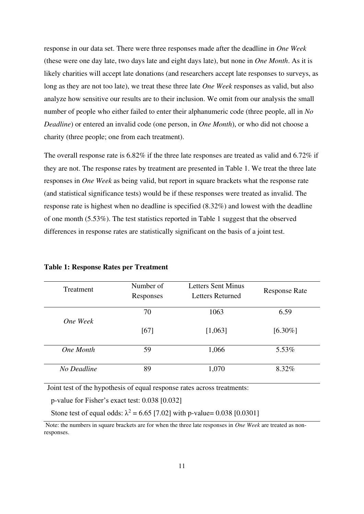response in our data set. There were three responses made after the deadline in *One Week*  (these were one day late, two days late and eight days late), but none in *One Month*. As it is likely charities will accept late donations (and researchers accept late responses to surveys, as long as they are not too late), we treat these three late *One Week* responses as valid, but also analyze how sensitive our results are to their inclusion. We omit from our analysis the small number of people who either failed to enter their alphanumeric code (three people, all in *No Deadline*) or entered an invalid code (one person, in *One Month*), or who did not choose a charity (three people; one from each treatment).

The overall response rate is 6.82% if the three late responses are treated as valid and 6.72% if they are not. The response rates by treatment are presented in Table 1. We treat the three late responses in *One Week* as being valid, but report in square brackets what the response rate (and statistical significance tests) would be if these responses were treated as invalid. The response rate is highest when no deadline is specified (8.32%) and lowest with the deadline of one month (5.53%). The test statistics reported in Table 1 suggest that the observed differences in response rates are statistically significant on the basis of a joint test.

| Treatment   | Number of<br>Responses | Letters Sent Minus<br><b>Letters Returned</b> | <b>Response Rate</b> |
|-------------|------------------------|-----------------------------------------------|----------------------|
| One Week    | 70                     | 1063                                          | 6.59                 |
|             | [67]                   | [1,063]                                       | $[6.30\%]$           |
| One Month   | 59                     | 1,066                                         | 5.53%                |
| No Deadline | 89                     | 1,070                                         | 8.32%                |

**Table 1: Response Rates per Treatment**

Joint test of the hypothesis of equal response rates across treatments:

p-value for Fisher's exact test: 0.038 [0.032]

Stone test of equal odds:  $\lambda^2 = 6.65$  [7.02] with p-value= 0.038 [0.0301]

Note: the numbers in square brackets are for when the three late responses in *One Week* are treated as nonresponses.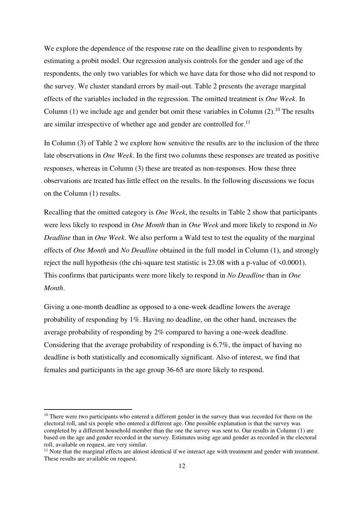We explore the dependence of the response rate on the deadline given to respondents by estimating a probit model. Our regression analysis controls for the gender and age of the respondents, the only two variables for which we have data for those who did not respond to the survey. We cluster standard errors by mail-out. Table 2 presents the average marginal effects of the variables included in the regression. The omitted treatment is *One Week*. In Column (1) we include age and gender but omit these variables in Column (2).<sup>10</sup> The results are similar irrespective of whether age and gender are controlled for.<sup>11</sup>

In Column (3) of Table 2 we explore how sensitive the results are to the inclusion of the three late observations in *One Week*. In the first two columns these responses are treated as positive responses, whereas in Column (3) these are treated as non-responses. How these three observations are treated has little effect on the results. In the following discussions we focus on the Column (1) results.

Recalling that the omitted category is *One Week*, the results in Table 2 show that participants were less likely to respond in *One Month* than in *One Week* and more likely to respond in *No Deadline* than in *One Week*. We also perform a Wald test to test the equality of the marginal effects of *One Month* and *No Deadline* obtained in the full model in Column (1), and strongly reject the null hypothesis (the chi-square test statistic is 23.08 with a p-value of <0.0001). This confirms that participants were more likely to respond in *No Deadline* than in *One Month*.

Giving a one-month deadline as opposed to a one-week deadline lowers the average probability of responding by 1%. Having no deadline, on the other hand, increases the average probability of responding by 2% compared to having a one-week deadline. Considering that the average probability of responding is 6.7%, the impact of having no deadline is both statistically and economically significant. Also of interest, we find that females and participants in the age group 36-65 are more likely to respond.

<sup>&</sup>lt;sup>10</sup> There were two participants who entered a different gender in the survey than was recorded for them on the electoral roll, and six people who entered a different age. One possible explanation is that the survey was completed by a different household member than the one the survey was sent to. Our results in Column (1) are based on the age and gender recorded in the survey. Estimates using age and gender as recorded in the electoral roll, available on request, are very similar.

 $11$  Note that the marginal effects are almost identical if we interact age with treatment and gender with treatment. These results are available on request.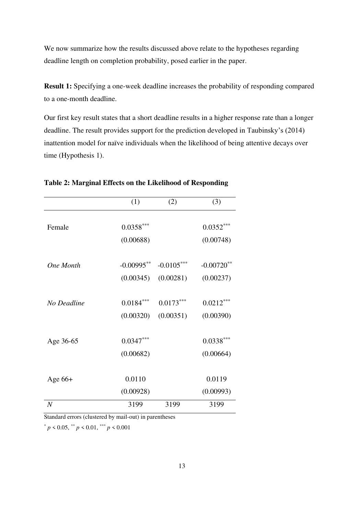We now summarize how the results discussed above relate to the hypotheses regarding deadline length on completion probability, posed earlier in the paper.

**Result 1:** Specifying a one-week deadline increases the probability of responding compared to a one-month deadline.

Our first key result states that a short deadline results in a higher response rate than a longer deadline. The result provides support for the prediction developed in Taubinsky's (2014) inattention model for naïve individuals when the likelihood of being attentive decays over time (Hypothesis 1).

|                | (1)                       | (2)                       | (3)                        |
|----------------|---------------------------|---------------------------|----------------------------|
| Female         | $0.0358***$<br>(0.00688)  |                           | $0.0352***$<br>(0.00748)   |
| One Month      | $-0.00995**$<br>(0.00345) | $-0.0105***$<br>(0.00281) | $-0.00720$ **<br>(0.00237) |
| No Deadline    | $0.0184***$<br>(0.00320)  | $0.0173***$<br>(0.00351)  | $0.0212***$<br>(0.00390)   |
| Age 36-65      | $0.0347***$<br>(0.00682)  |                           | $0.0338***$<br>(0.00664)   |
| Age $66+$      | 0.0110<br>(0.00928)       |                           | 0.0119<br>(0.00993)        |
| $\overline{N}$ | 3199                      | 3199                      | 3199                       |

**Table 2: Marginal Effects on the Likelihood of Responding**

Standard errors (clustered by mail-out) in parentheses

 $*$  *p* < 0.05,  $*$  *p* < 0.01,  $*$  *p* < 0.001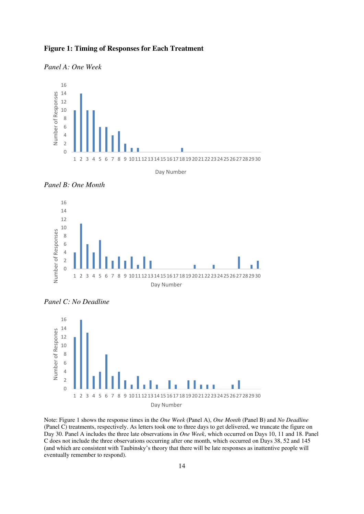













Note: Figure 1 shows the response times in the *One Week* (Panel A), *One Month* (Panel B) and *No Deadline* (Panel C) treatments, respectively. As letters took one to three days to get delivered, we truncate the figure on Day 30. Panel A includes the three late observations in *One Week*, which occurred on Days 10, 11 and 18. Panel C does not include the three observations occurring after one month, which occurred on Days 38, 52 and 145 (and which are consistent with Taubinsky's theory that there will be late responses as inattentive people will eventually remember to respond).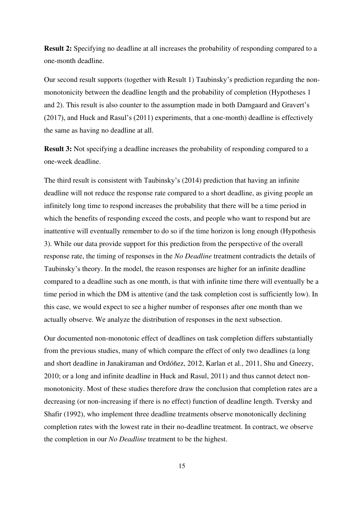**Result 2:** Specifying no deadline at all increases the probability of responding compared to a one-month deadline.

Our second result supports (together with Result 1) Taubinsky's prediction regarding the nonmonotonicity between the deadline length and the probability of completion (Hypotheses 1 and 2). This result is also counter to the assumption made in both Damgaard and Gravert's (2017), and Huck and Rasul's (2011) experiments, that a one-month) deadline is effectively the same as having no deadline at all.

**Result 3:** Not specifying a deadline increases the probability of responding compared to a one-week deadline.

The third result is consistent with Taubinsky's (2014) prediction that having an infinite deadline will not reduce the response rate compared to a short deadline, as giving people an infinitely long time to respond increases the probability that there will be a time period in which the benefits of responding exceed the costs, and people who want to respond but are inattentive will eventually remember to do so if the time horizon is long enough (Hypothesis 3). While our data provide support for this prediction from the perspective of the overall response rate, the timing of responses in the *No Deadline* treatment contradicts the details of Taubinsky's theory. In the model, the reason responses are higher for an infinite deadline compared to a deadline such as one month, is that with infinite time there will eventually be a time period in which the DM is attentive (and the task completion cost is sufficiently low). In this case, we would expect to see a higher number of responses after one month than we actually observe. We analyze the distribution of responses in the next subsection.

Our documented non-monotonic effect of deadlines on task completion differs substantially from the previous studies, many of which compare the effect of only two deadlines (a long and short deadline in Janakiraman and Ordóñez, 2012, Karlan et al., 2011, Shu and Gneezy, 2010; or a long and infinite deadline in Huck and Rasul, 2011) and thus cannot detect nonmonotonicity. Most of these studies therefore draw the conclusion that completion rates are a decreasing (or non-increasing if there is no effect) function of deadline length. Tversky and Shafir (1992), who implement three deadline treatments observe monotonically declining completion rates with the lowest rate in their no-deadline treatment. In contract, we observe the completion in our *No Deadline* treatment to be the highest.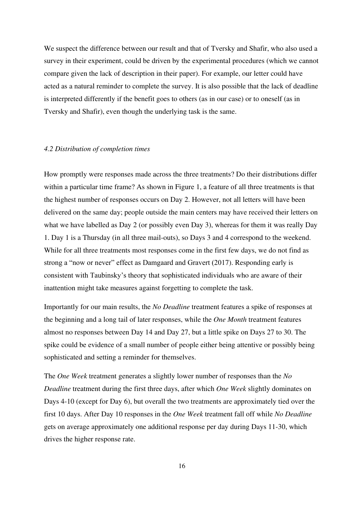We suspect the difference between our result and that of Tversky and Shafir, who also used a survey in their experiment, could be driven by the experimental procedures (which we cannot compare given the lack of description in their paper). For example, our letter could have acted as a natural reminder to complete the survey. It is also possible that the lack of deadline is interpreted differently if the benefit goes to others (as in our case) or to oneself (as in Tversky and Shafir), even though the underlying task is the same.

#### *4.2 Distribution of completion times*

How promptly were responses made across the three treatments? Do their distributions differ within a particular time frame? As shown in Figure 1, a feature of all three treatments is that the highest number of responses occurs on Day 2. However, not all letters will have been delivered on the same day; people outside the main centers may have received their letters on what we have labelled as Day 2 (or possibly even Day 3), whereas for them it was really Day 1. Day 1 is a Thursday (in all three mail-outs), so Days 3 and 4 correspond to the weekend. While for all three treatments most responses come in the first few days, we do not find as strong a "now or never" effect as Damgaard and Gravert (2017). Responding early is consistent with Taubinsky's theory that sophisticated individuals who are aware of their inattention might take measures against forgetting to complete the task.

Importantly for our main results, the *No Deadline* treatment features a spike of responses at the beginning and a long tail of later responses, while the *One Month* treatment features almost no responses between Day 14 and Day 27, but a little spike on Days 27 to 30. The spike could be evidence of a small number of people either being attentive or possibly being sophisticated and setting a reminder for themselves.

The *One Week* treatment generates a slightly lower number of responses than the *No Deadline* treatment during the first three days, after which *One Week* slightly dominates on Days 4-10 (except for Day 6), but overall the two treatments are approximately tied over the first 10 days. After Day 10 responses in the *One Week* treatment fall off while *No Deadline* gets on average approximately one additional response per day during Days 11-30, which drives the higher response rate.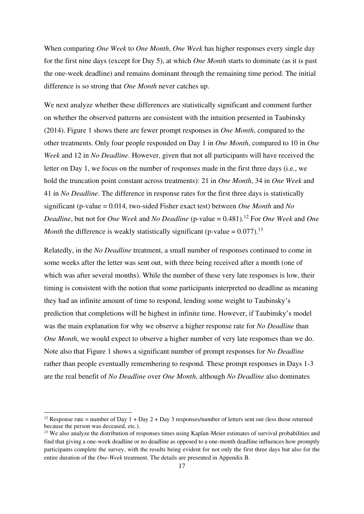When comparing *One Week* to *One Month*, *One Week* has higher responses every single day for the first nine days (except for Day 5), at which *One Month* starts to dominate (as it is past the one-week deadline) and remains dominant through the remaining time period. The initial difference is so strong that *One Month* never catches up.

We next analyze whether these differences are statistically significant and comment further on whether the observed patterns are consistent with the intuition presented in Taubinsky (2014). Figure 1 shows there are fewer prompt responses in *One Month*, compared to the other treatments. Only four people responded on Day 1 in *One Month*, compared to 10 in *One Week* and 12 in *No Deadline*. However, given that not all participants will have received the letter on Day 1, we focus on the number of responses made in the first three days (i.e., we hold the truncation point constant across treatments): 21 in *One Month*, 34 in *One Week* and 41 in *No Deadline*. The difference in response rates for the first three days is statistically significant (p-value = 0.014, two-sided Fisher exact test) between *One Month* and *No Deadline*, but not for *One Week* and *No Deadline* (p-value = 0.481).<sup>12</sup> For *One Week* and *One Month* the difference is weakly statistically significant (p-value =  $0.077$ ).<sup>13</sup>

Relatedly, in the *No Deadline* treatment, a small number of responses continued to come in some weeks after the letter was sent out, with three being received after a month (one of which was after several months). While the number of these very late responses is low, their timing is consistent with the notion that some participants interpreted no deadline as meaning they had an infinite amount of time to respond, lending some weight to Taubinsky's prediction that completions will be highest in infinite time. However, if Taubinsky's model was the main explanation for why we observe a higher response rate for *No Deadline* than *One Month*, we would expect to observe a higher number of very late responses than we do. Note also that Figure 1 shows a significant number of prompt responses for *No Deadline*  rather than people eventually remembering to respond*.* These prompt responses in Days 1-3 are the real benefit of *No Deadline* over *One Month*, although *No Deadline* also dominates

<sup>&</sup>lt;sup>12</sup> Response rate = number of Day 1 + Day 2 + Day 3 responses/number of letters sent out (less those returned because the person was deceased, etc.).

<sup>&</sup>lt;sup>13</sup> We also analyze the distribution of responses times using Kaplan-Meier estimates of survival probabilities and find that giving a one-week deadline or no deadline as opposed to a one-month deadline influences how promptly participants complete the survey, with the results being evident for not only the first three days but also for the entire duration of the *One-Week* treatment. The details are presented in Appendix B.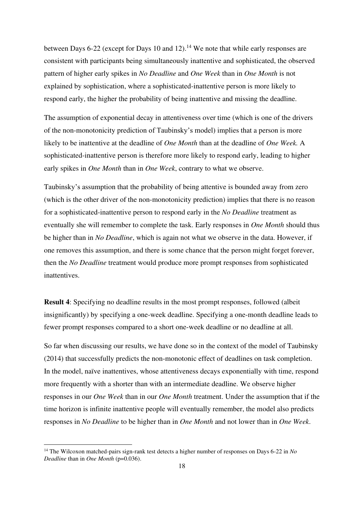between Days 6-22 (except for Days 10 and 12).<sup>14</sup> We note that while early responses are consistent with participants being simultaneously inattentive and sophisticated, the observed pattern of higher early spikes in *No Deadline* and *One Week* than in *One Month* is not explained by sophistication, where a sophisticated-inattentive person is more likely to respond early, the higher the probability of being inattentive and missing the deadline.

The assumption of exponential decay in attentiveness over time (which is one of the drivers of the non-monotonicity prediction of Taubinsky's model) implies that a person is more likely to be inattentive at the deadline of *One Month* than at the deadline of *One Week.* A sophisticated-inattentive person is therefore more likely to respond early, leading to higher early spikes in *One Month* than in *One Week*, contrary to what we observe.

Taubinsky's assumption that the probability of being attentive is bounded away from zero (which is the other driver of the non-monotonicity prediction) implies that there is no reason for a sophisticated-inattentive person to respond early in the *No Deadline* treatment as eventually she will remember to complete the task. Early responses in *One Month* should thus be higher than in *No Deadline*, which is again not what we observe in the data. However, if one removes this assumption, and there is some chance that the person might forget forever, then the *No Deadline* treatment would produce more prompt responses from sophisticated inattentives.

**Result 4**: Specifying no deadline results in the most prompt responses, followed (albeit insignificantly) by specifying a one-week deadline. Specifying a one-month deadline leads to fewer prompt responses compared to a short one-week deadline or no deadline at all.

So far when discussing our results, we have done so in the context of the model of Taubinsky (2014) that successfully predicts the non-monotonic effect of deadlines on task completion. In the model, naïve inattentives, whose attentiveness decays exponentially with time, respond more frequently with a shorter than with an intermediate deadline. We observe higher responses in our *One Week* than in our *One Month* treatment. Under the assumption that if the time horizon is infinite inattentive people will eventually remember, the model also predicts responses in *No Deadline* to be higher than in *One Month* and not lower than in *One Week*.

<sup>14</sup> The Wilcoxon matched-pairs sign-rank test detects a higher number of responses on Days 6-22 in *No Deadline* than in *One Month* (p=0.036).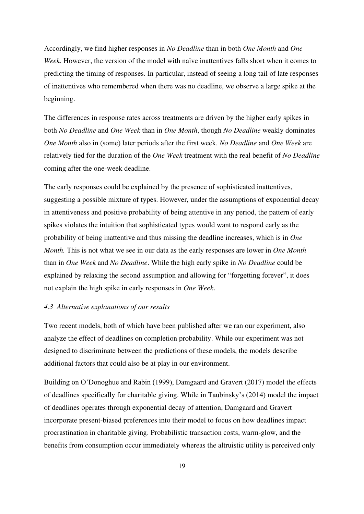Accordingly, we find higher responses in *No Deadline* than in both *One Month* and *One Week*. However, the version of the model with naïve inattentives falls short when it comes to predicting the timing of responses. In particular, instead of seeing a long tail of late responses of inattentives who remembered when there was no deadline, we observe a large spike at the beginning.

The differences in response rates across treatments are driven by the higher early spikes in both *No Deadline* and *One Week* than in *One Month*, though *No Deadline* weakly dominates *One Month* also in (some) later periods after the first week. *No Deadline* and *One Week* are relatively tied for the duration of the *One Week* treatment with the real benefit of *No Deadline* coming after the one-week deadline.

The early responses could be explained by the presence of sophisticated inattentives, suggesting a possible mixture of types. However, under the assumptions of exponential decay in attentiveness and positive probability of being attentive in any period, the pattern of early spikes violates the intuition that sophisticated types would want to respond early as the probability of being inattentive and thus missing the deadline increases, which is in *One Month.* This is not what we see in our data as the early responses are lower in *One Month* than in *One Week* and *No Deadline*. While the high early spike in *No Deadline* could be explained by relaxing the second assumption and allowing for "forgetting forever", it does not explain the high spike in early responses in *One Week*.

#### *4.3 Alternative explanations of our results*

Two recent models, both of which have been published after we ran our experiment, also analyze the effect of deadlines on completion probability. While our experiment was not designed to discriminate between the predictions of these models, the models describe additional factors that could also be at play in our environment.

Building on O'Donoghue and Rabin (1999), Damgaard and Gravert (2017) model the effects of deadlines specifically for charitable giving. While in Taubinsky's (2014) model the impact of deadlines operates through exponential decay of attention, Damgaard and Gravert incorporate present-biased preferences into their model to focus on how deadlines impact procrastination in charitable giving. Probabilistic transaction costs, warm-glow, and the benefits from consumption occur immediately whereas the altruistic utility is perceived only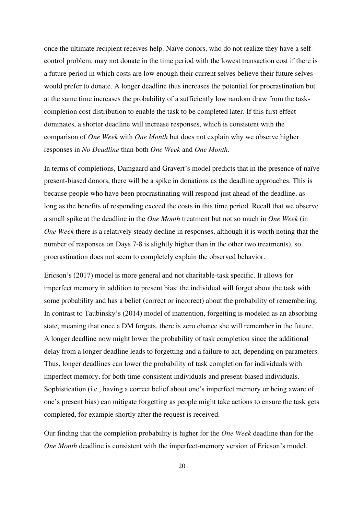once the ultimate recipient receives help. Naïve donors, who do not realize they have a selfcontrol problem, may not donate in the time period with the lowest transaction cost if there is a future period in which costs are low enough their current selves believe their future selves would prefer to donate. A longer deadline thus increases the potential for procrastination but at the same time increases the probability of a sufficiently low random draw from the taskcompletion cost distribution to enable the task to be completed later. If this first effect dominates, a shorter deadline will increase responses, which is consistent with the comparison of *One Week* with *One Month* but does not explain why we observe higher responses in *No Deadline* than both *One Week* and *One Month*.

In terms of completions, Damgaard and Gravert's model predicts that in the presence of naïve present-biased donors, there will be a spike in donations as the deadline approaches. This is because people who have been procrastinating will respond just ahead of the deadline, as long as the benefits of responding exceed the costs in this time period. Recall that we observe a small spike at the deadline in the *One Month* treatment but not so much in *One Week* (in *One Week* there is a relatively steady decline in responses, although it is worth noting that the number of responses on Days 7-8 is slightly higher than in the other two treatments), so procrastination does not seem to completely explain the observed behavior.

Ericson's (2017) model is more general and not charitable-task specific. It allows for imperfect memory in addition to present bias: the individual will forget about the task with some probability and has a belief (correct or incorrect) about the probability of remembering. In contrast to Taubinsky's (2014) model of inattention, forgetting is modeled as an absorbing state, meaning that once a DM forgets, there is zero chance she will remember in the future. A longer deadline now might lower the probability of task completion since the additional delay from a longer deadline leads to forgetting and a failure to act, depending on parameters. Thus, longer deadlines can lower the probability of task completion for individuals with imperfect memory, for both time-consistent individuals and present-biased individuals. Sophistication (i.e., having a correct belief about one's imperfect memory or being aware of one's present bias) can mitigate forgetting as people might take actions to ensure the task gets completed, for example shortly after the request is received.

Our finding that the completion probability is higher for the *One Week* deadline than for the *One Month* deadline is consistent with the imperfect-memory version of Ericson's model.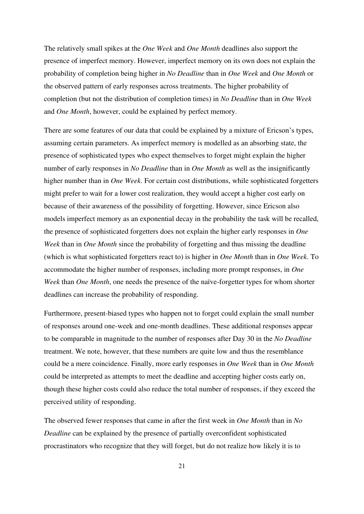The relatively small spikes at the *One Week* and *One Month* deadlines also support the presence of imperfect memory. However, imperfect memory on its own does not explain the probability of completion being higher in *No Deadline* than in *One Week* and *One Month* or the observed pattern of early responses across treatments. The higher probability of completion (but not the distribution of completion times) in *No Deadline* than in *One Week* and *One Month*, however, could be explained by perfect memory.

There are some features of our data that could be explained by a mixture of Ericson's types, assuming certain parameters. As imperfect memory is modelled as an absorbing state, the presence of sophisticated types who expect themselves to forget might explain the higher number of early responses in *No Deadline* than in *One Month* as well as the insignificantly higher number than in *One Week*. For certain cost distributions, while sophisticated forgetters might prefer to wait for a lower cost realization, they would accept a higher cost early on because of their awareness of the possibility of forgetting. However, since Ericson also models imperfect memory as an exponential decay in the probability the task will be recalled, the presence of sophisticated forgetters does not explain the higher early responses in *One Week* than in *One Month* since the probability of forgetting and thus missing the deadline (which is what sophisticated forgetters react to) is higher in *One Month* than in *One Week*. To accommodate the higher number of responses, including more prompt responses, in *One Week* than *One Month*, one needs the presence of the naïve-forgetter types for whom shorter deadlines can increase the probability of responding.

Furthermore, present-biased types who happen not to forget could explain the small number of responses around one-week and one-month deadlines. These additional responses appear to be comparable in magnitude to the number of responses after Day 30 in the *No Deadline* treatment. We note, however, that these numbers are quite low and thus the resemblance could be a mere coincidence. Finally, more early responses in *One Week* than in *One Month* could be interpreted as attempts to meet the deadline and accepting higher costs early on, though these higher costs could also reduce the total number of responses, if they exceed the perceived utility of responding.

The observed fewer responses that came in after the first week in *One Month* than in *No Deadline* can be explained by the presence of partially overconfident sophisticated procrastinators who recognize that they will forget, but do not realize how likely it is to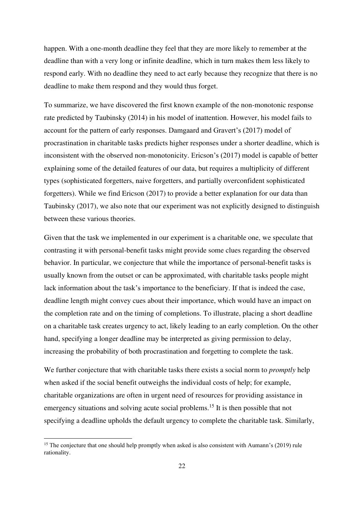happen. With a one-month deadline they feel that they are more likely to remember at the deadline than with a very long or infinite deadline, which in turn makes them less likely to respond early. With no deadline they need to act early because they recognize that there is no deadline to make them respond and they would thus forget.

To summarize, we have discovered the first known example of the non-monotonic response rate predicted by Taubinsky (2014) in his model of inattention. However, his model fails to account for the pattern of early responses. Damgaard and Gravert's (2017) model of procrastination in charitable tasks predicts higher responses under a shorter deadline, which is inconsistent with the observed non-monotonicity. Ericson's (2017) model is capable of better explaining some of the detailed features of our data, but requires a multiplicity of different types (sophisticated forgetters, naive forgetters, and partially overconfident sophisticated forgetters). While we find Ericson (2017) to provide a better explanation for our data than Taubinsky (2017), we also note that our experiment was not explicitly designed to distinguish between these various theories.

Given that the task we implemented in our experiment is a charitable one, we speculate that contrasting it with personal-benefit tasks might provide some clues regarding the observed behavior. In particular, we conjecture that while the importance of personal-benefit tasks is usually known from the outset or can be approximated, with charitable tasks people might lack information about the task's importance to the beneficiary. If that is indeed the case, deadline length might convey cues about their importance, which would have an impact on the completion rate and on the timing of completions. To illustrate, placing a short deadline on a charitable task creates urgency to act, likely leading to an early completion. On the other hand, specifying a longer deadline may be interpreted as giving permission to delay, increasing the probability of both procrastination and forgetting to complete the task.

We further conjecture that with charitable tasks there exists a social norm to *promptly* help when asked if the social benefit outweighs the individual costs of help; for example, charitable organizations are often in urgent need of resources for providing assistance in emergency situations and solving acute social problems.<sup>15</sup> It is then possible that not specifying a deadline upholds the default urgency to complete the charitable task. Similarly,

<sup>&</sup>lt;sup>15</sup> The conjecture that one should help promptly when asked is also consistent with Aumann's (2019) rule rationality.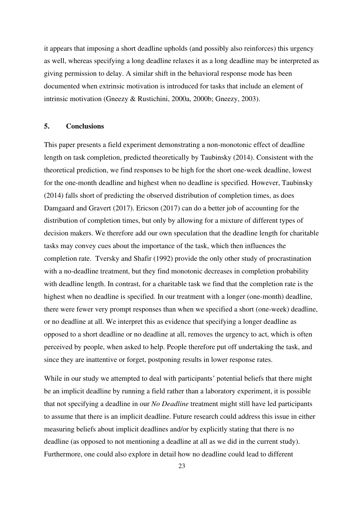it appears that imposing a short deadline upholds (and possibly also reinforces) this urgency as well, whereas specifying a long deadline relaxes it as a long deadline may be interpreted as giving permission to delay. A similar shift in the behavioral response mode has been documented when extrinsic motivation is introduced for tasks that include an element of intrinsic motivation (Gneezy & Rustichini, 2000a, 2000b; Gneezy, 2003).

#### **5. Conclusions**

This paper presents a field experiment demonstrating a non-monotonic effect of deadline length on task completion, predicted theoretically by Taubinsky (2014). Consistent with the theoretical prediction, we find responses to be high for the short one-week deadline, lowest for the one-month deadline and highest when no deadline is specified. However, Taubinsky (2014) falls short of predicting the observed distribution of completion times, as does Damgaard and Gravert (2017). Ericson (2017) can do a better job of accounting for the distribution of completion times, but only by allowing for a mixture of different types of decision makers. We therefore add our own speculation that the deadline length for charitable tasks may convey cues about the importance of the task, which then influences the completion rate. Tversky and Shafir (1992) provide the only other study of procrastination with a no-deadline treatment, but they find monotonic decreases in completion probability with deadline length. In contrast, for a charitable task we find that the completion rate is the highest when no deadline is specified. In our treatment with a longer (one-month) deadline, there were fewer very prompt responses than when we specified a short (one-week) deadline, or no deadline at all. We interpret this as evidence that specifying a longer deadline as opposed to a short deadline or no deadline at all, removes the urgency to act, which is often perceived by people, when asked to help. People therefore put off undertaking the task, and since they are inattentive or forget, postponing results in lower response rates.

While in our study we attempted to deal with participants' potential beliefs that there might be an implicit deadline by running a field rather than a laboratory experiment, it is possible that not specifying a deadline in our *No Deadline* treatment might still have led participants to assume that there is an implicit deadline. Future research could address this issue in either measuring beliefs about implicit deadlines and/or by explicitly stating that there is no deadline (as opposed to not mentioning a deadline at all as we did in the current study). Furthermore, one could also explore in detail how no deadline could lead to different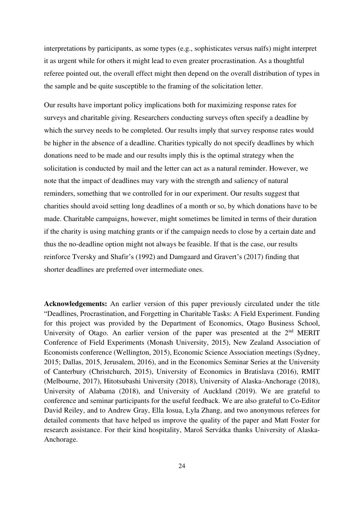interpretations by participants, as some types (e.g., sophisticates versus naïfs) might interpret it as urgent while for others it might lead to even greater procrastination. As a thoughtful referee pointed out, the overall effect might then depend on the overall distribution of types in the sample and be quite susceptible to the framing of the solicitation letter.

Our results have important policy implications both for maximizing response rates for surveys and charitable giving. Researchers conducting surveys often specify a deadline by which the survey needs to be completed. Our results imply that survey response rates would be higher in the absence of a deadline. Charities typically do not specify deadlines by which donations need to be made and our results imply this is the optimal strategy when the solicitation is conducted by mail and the letter can act as a natural reminder. However, we note that the impact of deadlines may vary with the strength and saliency of natural reminders, something that we controlled for in our experiment. Our results suggest that charities should avoid setting long deadlines of a month or so, by which donations have to be made. Charitable campaigns, however, might sometimes be limited in terms of their duration if the charity is using matching grants or if the campaign needs to close by a certain date and thus the no-deadline option might not always be feasible. If that is the case, our results reinforce Tversky and Shafir's (1992) and Damgaard and Gravert's (2017) finding that shorter deadlines are preferred over intermediate ones.

**Acknowledgements:** An earlier version of this paper previously circulated under the title "Deadlines, Procrastination, and Forgetting in Charitable Tasks: A Field Experiment. Funding for this project was provided by the Department of Economics, Otago Business School, University of Otago. An earlier version of the paper was presented at the 2<sup>nd</sup> MERIT Conference of Field Experiments (Monash University, 2015), New Zealand Association of Economists conference (Wellington, 2015), Economic Science Association meetings (Sydney, 2015; Dallas, 2015, Jerusalem, 2016), and in the Economics Seminar Series at the University of Canterbury (Christchurch, 2015), University of Economics in Bratislava (2016), RMIT (Melbourne, 2017), Hitotsubashi University (2018), University of Alaska-Anchorage (2018), University of Alabama (2018), and University of Auckland (2019). We are grateful to conference and seminar participants for the useful feedback. We are also grateful to Co-Editor David Reiley, and to Andrew Gray, Ella Iosua, Lyla Zhang, and two anonymous referees for detailed comments that have helped us improve the quality of the paper and Matt Foster for research assistance. For their kind hospitality, Maroš Servátka thanks University of Alaska-Anchorage.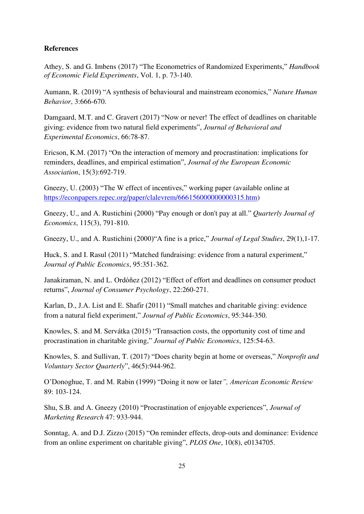### **References**

Athey, S. and G. Imbens (2017) "The Econometrics of Randomized Experiments," *[Handbook](https://www.sciencedirect.com/science/journal/2214658X)  [of Economic Field Experiments](https://www.sciencedirect.com/science/journal/2214658X)*, [Vol. 1,](https://www.sciencedirect.com/science/journal/2214658X/1/supp/C) p. 73-140.

Aumann, R. (2019) "A synthesis of behavioural and mainstream economics," *Nature Human Behavior*, 3:666-670.

Damgaard, M.T. and C. Gravert (2017) "Now or never! The effect of deadlines on charitable giving: evidence from two natural field experiments", *Journal of Behavioral and Experimental Economics*, 66:78-87.

Ericson, K.M. (2017) "On the interaction of memory and procrastination: implications for reminders, deadlines, and empirical estimation", *Journal of the European Economic Association*, 15(3):692-719.

Gneezy, U. (2003) "The W effect of incentives," working paper (available online at [https://econpapers.repec.org/paper/clalevrem/666156000000000315.htm\)](https://econpapers.repec.org/paper/clalevrem/666156000000000315.htm)

Gneezy, U., and A. Rustichini (2000) "Pay enough or don't pay at all." *Quarterly Journal of Economics*, 115(3), 791-810.

Gneezy, U., and A. Rustichini (2000)"A fine is a price," *Journal of Legal Studies*, 29(1),1-17.

Huck, S. and I. Rasul (2011) "Matched fundraising: evidence from a natural experiment," *Journal of Public Economics*, 95:351-362.

Janakiraman, N. and L. Ordóñez (2012) "Effect of effort and deadlines on consumer product returns", *Journal of Consumer Psychology*, 22:260-271.

Karlan, D., J.A. List and E. Shafir (2011) "Small matches and charitable giving: evidence from a natural field experiment," *Journal of Public Economics*, 95:344-350.

Knowles, S. and M. Servátka (2015) "Transaction costs, the opportunity cost of time and procrastination in charitable giving," *Journal of Public Economics*, 125:54-63.

Knowles, S. and Sullivan, T. (2017) "Does charity begin at home or overseas," *Nonprofit and Voluntary Sector Quarterly*", 46(5):944-962.

O'Donoghue, T. and M. Rabin (1999) "Doing it now or later*", American Economic Review* 89: 103-124.

Shu, S.B. and A. Gneezy (2010) "Procrastination of enjoyable experiences", *Journal of Marketing Research* 47: 933-944.

Sonntag, A. and D.J. Zizzo (2015) "[On reminder effects, drop-outs and dominance: Evidence](http://journals.plos.org/plosone/article?id=10.1371/journal.pone.0134705)  [from an online experiment on charitable giving](http://journals.plos.org/plosone/article?id=10.1371/journal.pone.0134705)", *[PLOS One](http://www.plosone.org/)*, 10(8), e0134705.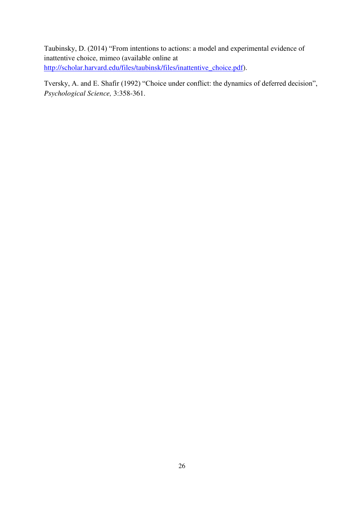Taubinsky, D. (2014) "From intentions to actions: a model and experimental evidence of inattentive choice, mimeo (available online at [http://scholar.harvard.edu/files/taubinsk/files/inattentive\\_choice.pdf\)](http://scholar.harvard.edu/files/taubinsk/files/inattentive_choice.pdf).

Tversky, A. and E. Shafir (1992) "Choice under conflict: the dynamics of deferred decision", *Psychological Science,* 3:358-361.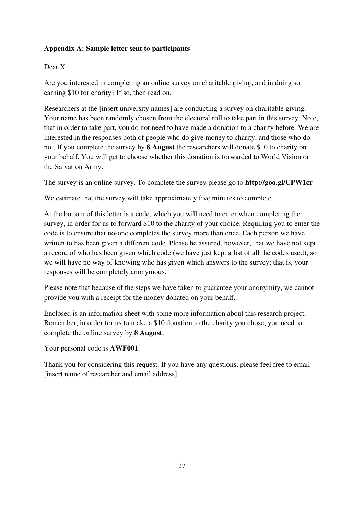## **Appendix A: Sample letter sent to participants**

## Dear X

Are you interested in completing an online survey on charitable giving, and in doing so earning \$10 for charity? If so, then read on.

Researchers at the [insert university names] are conducting a survey on charitable giving. Your name has been randomly chosen from the electoral roll to take part in this survey. Note, that in order to take part, you do not need to have made a donation to a charity before. We are interested in the responses both of people who do give money to charity, and those who do not. If you complete the survey by **8 August** the researchers will donate \$10 to charity on your behalf. You will get to choose whether this donation is forwarded to World Vision or the Salvation Army.

The survey is an online survey. To complete the survey please go to **http://goo.gl/CPW1cr**

We estimate that the survey will take approximately five minutes to complete.

At the bottom of this letter is a code, which you will need to enter when completing the survey, in order for us to forward \$10 to the charity of your choice. Requiring you to enter the code is to ensure that no-one completes the survey more than once. Each person we have written to has been given a different code. Please be assured, however, that we have not kept a record of who has been given which code (we have just kept a list of all the codes used), so we will have no way of knowing who has given which answers to the survey; that is, your responses will be completely anonymous.

Please note that because of the steps we have taken to guarantee your anonymity, we cannot provide you with a receipt for the money donated on your behalf.

Enclosed is an information sheet with some more information about this research project. Remember, in order for us to make a \$10 donation to the charity you chose, you need to complete the online survey by **8 August**.

Your personal code is **AWF001**.

Thank you for considering this request. If you have any questions, please feel free to email [insert name of researcher and email address]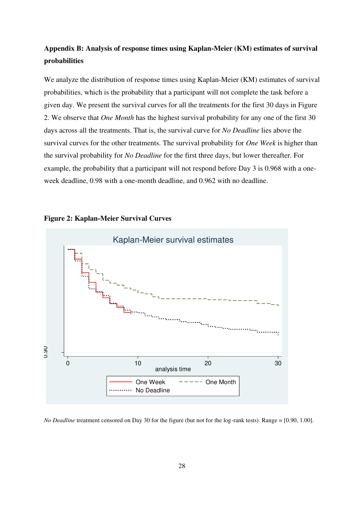# **Appendix B: Analysis of response times using Kaplan-Meier (KM) estimates of survival probabilities**

We analyze the distribution of response times using Kaplan-Meier (KM) estimates of survival probabilities, which is the probability that a participant will not complete the task before a given day. We present the survival curves for all the treatments for the first 30 days in Figure 2. We observe that *One Month* has the highest survival probability for any one of the first 30 days across all the treatments. That is, the survival curve for *No Deadline* lies above the survival curves for the other treatments. The survival probability for *One Week* is higher than the survival probability for *No Deadline* for the first three days, but lower thereafter. For example, the probability that a participant will not respond before Day 3 is 0.968 with a oneweek deadline, 0.98 with a one-month deadline, and 0.962 with no deadline.